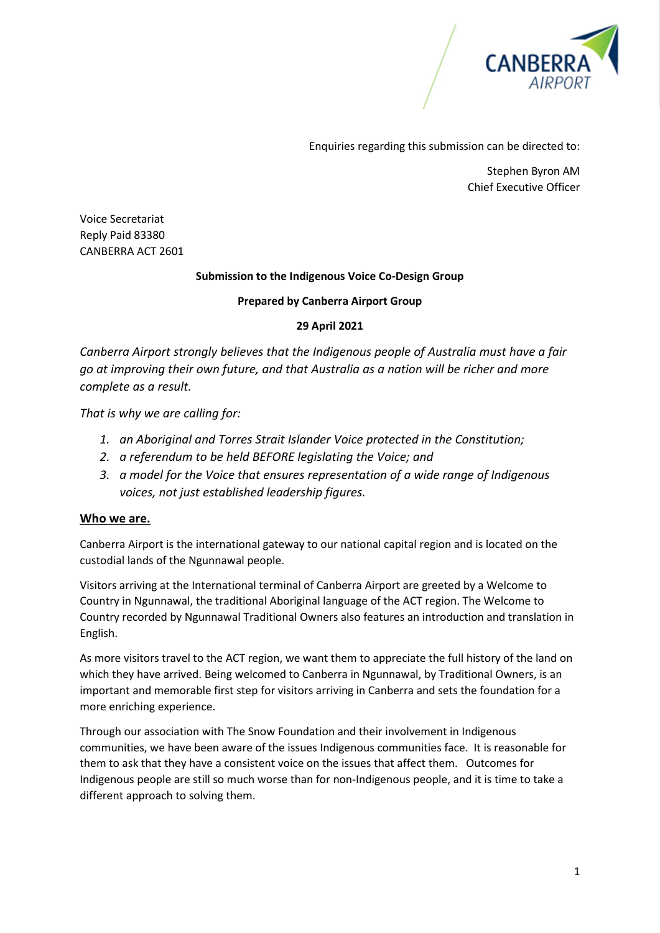

Enquiries regarding this submission can be directed to:

Stephen Byron AM Chief Executive Officer

Voice Secretariat Reply Paid 83380 CANBERRA ACT 2601

#### **Submission to the Indigenous Voice Co-Design Group**

#### **Prepared by Canberra Airport Group**

#### **29 April 2021**

*Canberra Airport strongly believes that the Indigenous people of Australia must have a fair go at improving their own future, and that Australia as a nation will be richer and more complete as a result.* 

*That is why we are calling for:* 

- *1. an Aboriginal and Torres Strait Islander Voice protected in the Constitution;*
- *2. a referendum to be held BEFORE legislating the Voice; and*
- *3. a model for the Voice that ensures representation of a wide range of Indigenous voices, not just established leadership figures.*

#### **Who we are.**

Canberra Airport is the international gateway to our national capital region and is located on the custodial lands of the Ngunnawal people.

Visitors arriving at the International terminal of Canberra Airport are greeted by a Welcome to Country in Ngunnawal, the traditional Aboriginal language of the ACT region. The Welcome to Country recorded by Ngunnawal Traditional Owners also features an introduction and translation in English.

As more visitors travel to the ACT region, we want them to appreciate the full history of the land on which they have arrived. Being welcomed to Canberra in Ngunnawal, by Traditional Owners, is an important and memorable first step for visitors arriving in Canberra and sets the foundation for a more enriching experience.

Through our association with The Snow Foundation and their involvement in Indigenous communities, we have been aware of the issues Indigenous communities face. It is reasonable for them to ask that they have a consistent voice on the issues that affect them. Outcomes for Indigenous people are still so much worse than for non-Indigenous people, and it is time to take a different approach to solving them.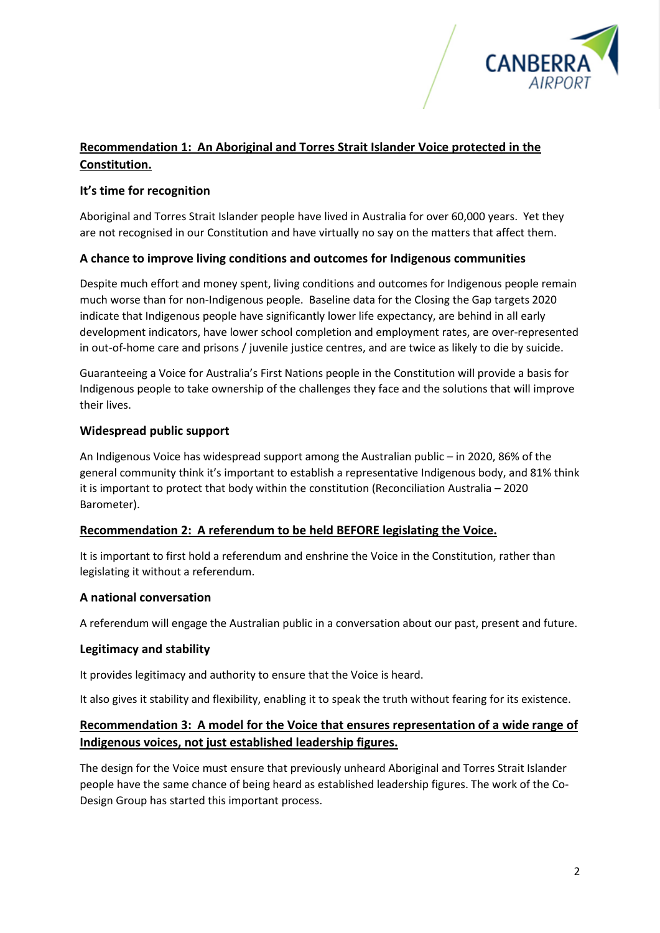

# **Recommendation 1: An Aboriginal and Torres Strait Islander Voice protected in the Constitution.**

## **It's time for recognition**

Aboriginal and Torres Strait Islander people have lived in Australia for over 60,000 years. Yet they are not recognised in our Constitution and have virtually no say on the matters that affect them.

### **A chance to improve living conditions and outcomes for Indigenous communities**

Despite much effort and money spent, living conditions and outcomes for Indigenous people remain much worse than for non-Indigenous people. Baseline data for the Closing the Gap targets 2020 indicate that Indigenous people have significantly lower life expectancy, are behind in all early development indicators, have lower school completion and employment rates, are over-represented in out-of-home care and prisons / juvenile justice centres, and are twice as likely to die by suicide.

Guaranteeing a Voice for Australia's First Nations people in the Constitution will provide a basis for Indigenous people to take ownership of the challenges they face and the solutions that will improve their lives.

### **Widespread public support**

An Indigenous Voice has widespread support among the Australian public – in 2020, 86% of the general community think it's important to establish a representative Indigenous body, and 81% think it is important to protect that body within the constitution (Reconciliation Australia – 2020 Barometer).

### **Recommendation 2: A referendum to be held BEFORE legislating the Voice.**

It is important to first hold a referendum and enshrine the Voice in the Constitution, rather than legislating it without a referendum.

### **A national conversation**

A referendum will engage the Australian public in a conversation about our past, present and future.

### **Legitimacy and stability**

It provides legitimacy and authority to ensure that the Voice is heard.

It also gives it stability and flexibility, enabling it to speak the truth without fearing for its existence.

# **Recommendation 3: A model for the Voice that ensures representation of a wide range of Indigenous voices, not just established leadership figures.**

The design for the Voice must ensure that previously unheard Aboriginal and Torres Strait Islander people have the same chance of being heard as established leadership figures. The work of the Co-Design Group has started this important process.